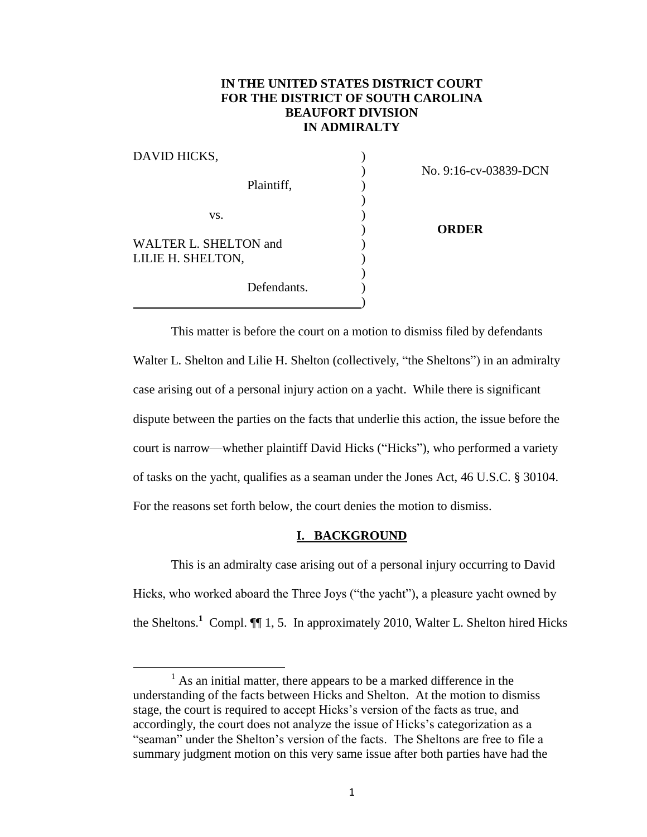# **IN THE UNITED STATES DISTRICT COURT FOR THE DISTRICT OF SOUTH CAROLINA BEAUFORT DIVISION IN ADMIRALTY**

| DAVID HICKS,          |                       |
|-----------------------|-----------------------|
|                       | No. 9:16-cv-03839-DCN |
| Plaintiff,            |                       |
|                       |                       |
| VS.                   |                       |
|                       | <b>ORDER</b>          |
| WALTER L. SHELTON and |                       |
| LILIE H. SHELTON,     |                       |
|                       |                       |
| Defendants.           |                       |
|                       |                       |

This matter is before the court on a motion to dismiss filed by defendants Walter L. Shelton and Lilie H. Shelton (collectively, "the Sheltons") in an admiralty case arising out of a personal injury action on a yacht. While there is significant dispute between the parties on the facts that underlie this action, the issue before the court is narrow—whether plaintiff David Hicks ("Hicks"), who performed a variety of tasks on the yacht, qualifies as a seaman under the Jones Act, 46 U.S.C. § 30104. For the reasons set forth below, the court denies the motion to dismiss.

## **I. BACKGROUND**

This is an admiralty case arising out of a personal injury occurring to David Hicks, who worked aboard the Three Joys ("the yacht"), a pleasure yacht owned by the Sheltons.<sup>1</sup> Compl.  $\P$ [1, 5. In approximately 2010, Walter L. Shelton hired Hicks

 $\overline{\phantom{a}}$ 

 $<sup>1</sup>$  As an initial matter, there appears to be a marked difference in the</sup> understanding of the facts between Hicks and Shelton. At the motion to dismiss stage, the court is required to accept Hicks's version of the facts as true, and accordingly, the court does not analyze the issue of Hicks's categorization as a "seaman" under the Shelton's version of the facts. The Sheltons are free to file a summary judgment motion on this very same issue after both parties have had the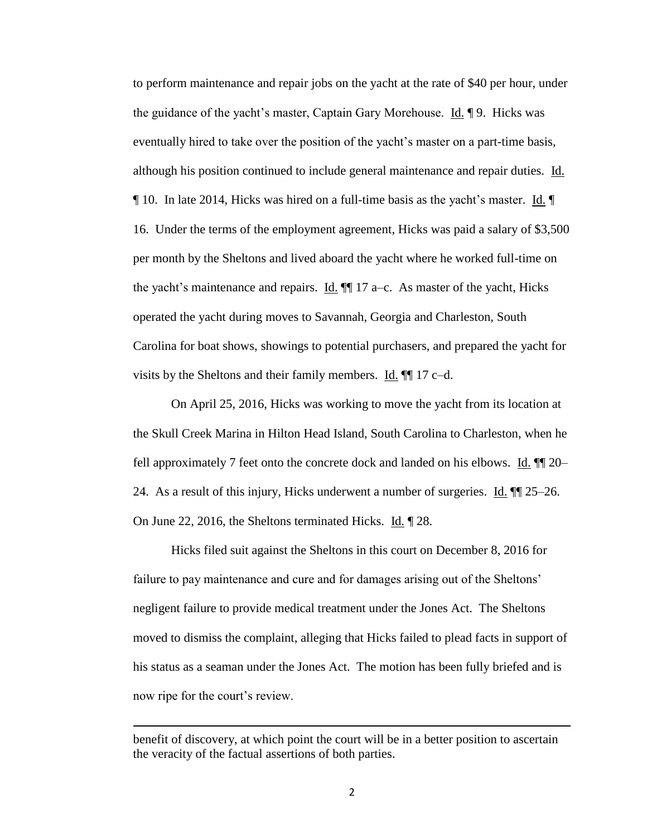to perform maintenance and repair jobs on the yacht at the rate of \$40 per hour, under the guidance of the yacht's master, Captain Gary Morehouse. Id. ¶ 9. Hicks was eventually hired to take over the position of the yacht's master on a part-time basis, although his position continued to include general maintenance and repair duties. Id. ¶ 10. In late 2014, Hicks was hired on a full-time basis as the yacht's master. Id. ¶ 16. Under the terms of the employment agreement, Hicks was paid a salary of \$3,500 per month by the Sheltons and lived aboard the yacht where he worked full-time on the yacht's maintenance and repairs.  $\underline{Id}$ .  $\P$  17 a–c. As master of the yacht, Hicks operated the yacht during moves to Savannah, Georgia and Charleston, South Carolina for boat shows, showings to potential purchasers, and prepared the yacht for visits by the Sheltons and their family members.  $\underline{Id}$ .  $\P$  17 c–d.

On April 25, 2016, Hicks was working to move the yacht from its location at the Skull Creek Marina in Hilton Head Island, South Carolina to Charleston, when he fell approximately 7 feet onto the concrete dock and landed on his elbows.  $\underline{Id}$ .  $\P\P$  20– 24. As a result of this injury, Hicks underwent a number of surgeries. Id.  $\P$  25–26. On June 22, 2016, the Sheltons terminated Hicks. Id. ¶ 28.

Hicks filed suit against the Sheltons in this court on December 8, 2016 for failure to pay maintenance and cure and for damages arising out of the Sheltons' negligent failure to provide medical treatment under the Jones Act. The Sheltons moved to dismiss the complaint, alleging that Hicks failed to plead facts in support of his status as a seaman under the Jones Act. The motion has been fully briefed and is now ripe for the court's review.

 $\overline{\phantom{a}}$ 

benefit of discovery, at which point the court will be in a better position to ascertain the veracity of the factual assertions of both parties.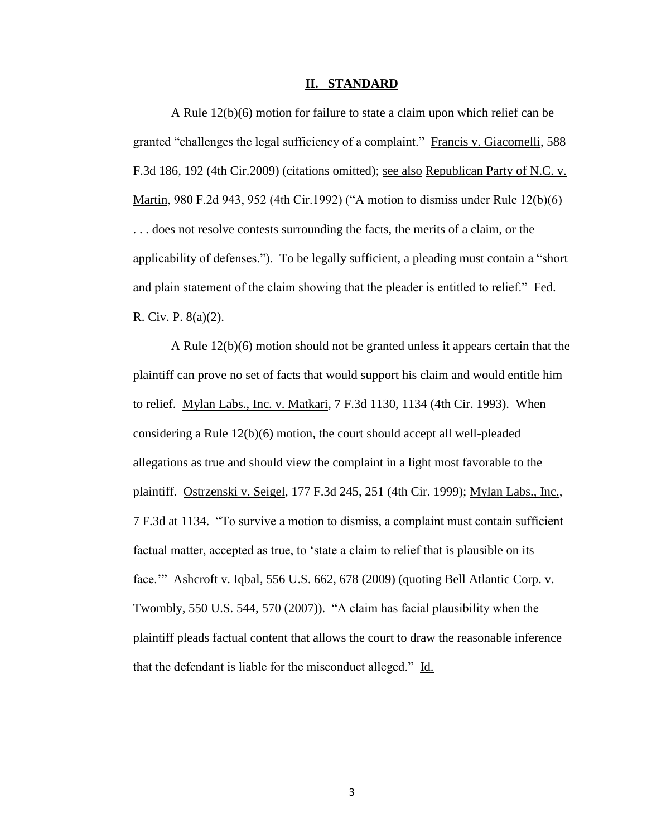### **II. STANDARD**

A Rule 12(b)(6) motion for failure to state a claim upon which relief can be granted "challenges the legal sufficiency of a complaint." Francis v. Giacomelli, 588 F.3d 186, 192 (4th Cir.2009) (citations omitted); see also Republican Party of N.C. v. Martin, 980 F.2d 943, 952 (4th Cir.1992) ("A motion to dismiss under Rule 12(b)(6) . . . does not resolve contests surrounding the facts, the merits of a claim, or the applicability of defenses."). To be legally sufficient, a pleading must contain a "short and plain statement of the claim showing that the pleader is entitled to relief." Fed. R. Civ. P. 8(a)(2).

A Rule 12(b)(6) motion should not be granted unless it appears certain that the plaintiff can prove no set of facts that would support his claim and would entitle him to relief. Mylan Labs., Inc. v. Matkari, 7 F.3d 1130, 1134 (4th Cir. 1993). When considering a Rule 12(b)(6) motion, the court should accept all well-pleaded allegations as true and should view the complaint in a light most favorable to the plaintiff. Ostrzenski v. Seigel, 177 F.3d 245, 251 (4th Cir. 1999); Mylan Labs., Inc., 7 F.3d at 1134. "To survive a motion to dismiss, a complaint must contain sufficient factual matter, accepted as true, to 'state a claim to relief that is plausible on its face.'" Ashcroft v. Iqbal, 556 U.S. 662, 678 (2009) (quoting Bell Atlantic Corp. v. Twombly, 550 U.S. 544, 570 (2007)). "A claim has facial plausibility when the plaintiff pleads factual content that allows the court to draw the reasonable inference that the defendant is liable for the misconduct alleged." Id.

3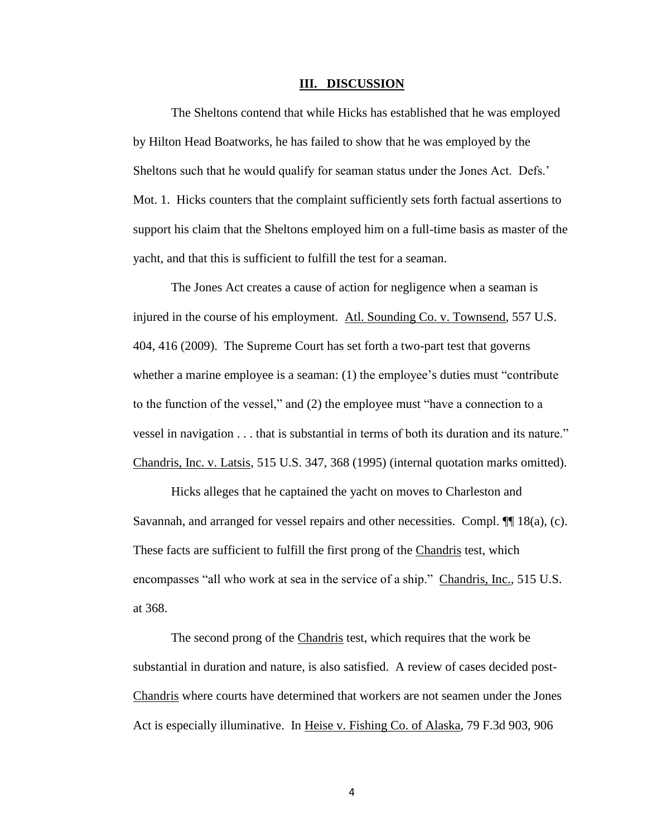#### **III. DISCUSSION**

The Sheltons contend that while Hicks has established that he was employed by Hilton Head Boatworks, he has failed to show that he was employed by the Sheltons such that he would qualify for seaman status under the Jones Act. Defs.' Mot. 1. Hicks counters that the complaint sufficiently sets forth factual assertions to support his claim that the Sheltons employed him on a full-time basis as master of the yacht, and that this is sufficient to fulfill the test for a seaman.

The Jones Act creates a cause of action for negligence when a seaman is injured in the course of his employment. Atl. Sounding Co. v. Townsend, 557 U.S. 404, 416 (2009). The Supreme Court has set forth a two-part test that governs whether a marine employee is a seaman: (1) the employee's duties must "contribute" to the function of the vessel," and (2) the employee must "have a connection to a vessel in navigation . . . that is substantial in terms of both its duration and its nature." Chandris, Inc. v. Latsis, 515 U.S. 347, 368 (1995) (internal quotation marks omitted).

Hicks alleges that he captained the yacht on moves to Charleston and Savannah, and arranged for vessel repairs and other necessities. Compl. ¶¶ 18(a), (c). These facts are sufficient to fulfill the first prong of the Chandris test, which encompasses "all who work at sea in the service of a ship." Chandris, Inc., 515 U.S. at 368.

The second prong of the Chandris test, which requires that the work be substantial in duration and nature, is also satisfied. A review of cases decided post-Chandris where courts have determined that workers are not seamen under the Jones Act is especially illuminative. In Heise v. Fishing Co. of Alaska, 79 F.3d 903, 906

4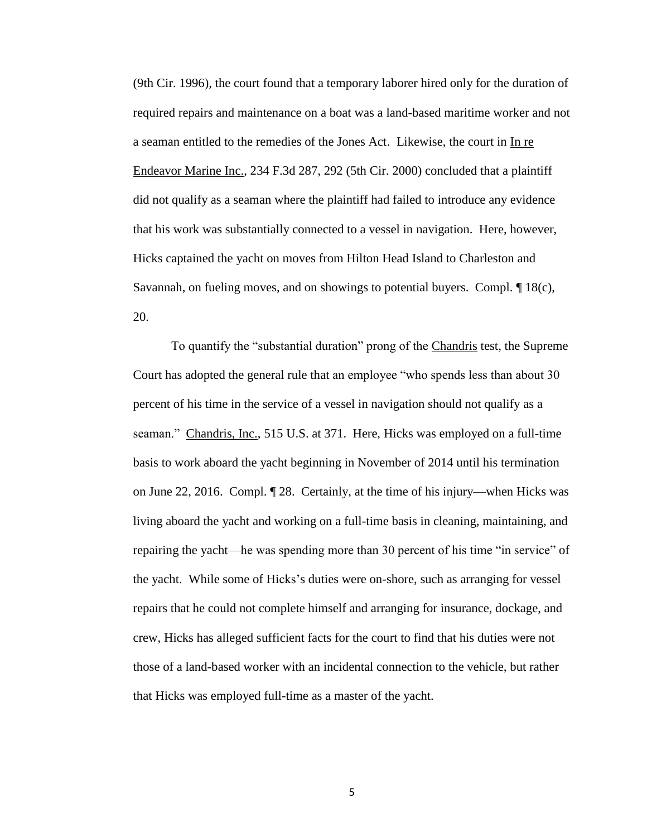(9th Cir. 1996), the court found that a temporary laborer hired only for the duration of required repairs and maintenance on a boat was a land-based maritime worker and not a seaman entitled to the remedies of the Jones Act. Likewise, the court in In re Endeavor Marine Inc., 234 F.3d 287, 292 (5th Cir. 2000) concluded that a plaintiff did not qualify as a seaman where the plaintiff had failed to introduce any evidence that his work was substantially connected to a vessel in navigation. Here, however, Hicks captained the yacht on moves from Hilton Head Island to Charleston and Savannah, on fueling moves, and on showings to potential buyers. Compl.  $\P$  18(c), 20.

To quantify the "substantial duration" prong of the Chandris test, the Supreme Court has adopted the general rule that an employee "who spends less than about 30 percent of his time in the service of a vessel in navigation should not qualify as a seaman." Chandris, Inc., 515 U.S. at 371. Here, Hicks was employed on a full-time basis to work aboard the yacht beginning in November of 2014 until his termination on June 22, 2016. Compl. ¶ 28. Certainly, at the time of his injury—when Hicks was living aboard the yacht and working on a full-time basis in cleaning, maintaining, and repairing the yacht—he was spending more than 30 percent of his time "in service" of the yacht. While some of Hicks's duties were on-shore, such as arranging for vessel repairs that he could not complete himself and arranging for insurance, dockage, and crew, Hicks has alleged sufficient facts for the court to find that his duties were not those of a land-based worker with an incidental connection to the vehicle, but rather that Hicks was employed full-time as a master of the yacht.